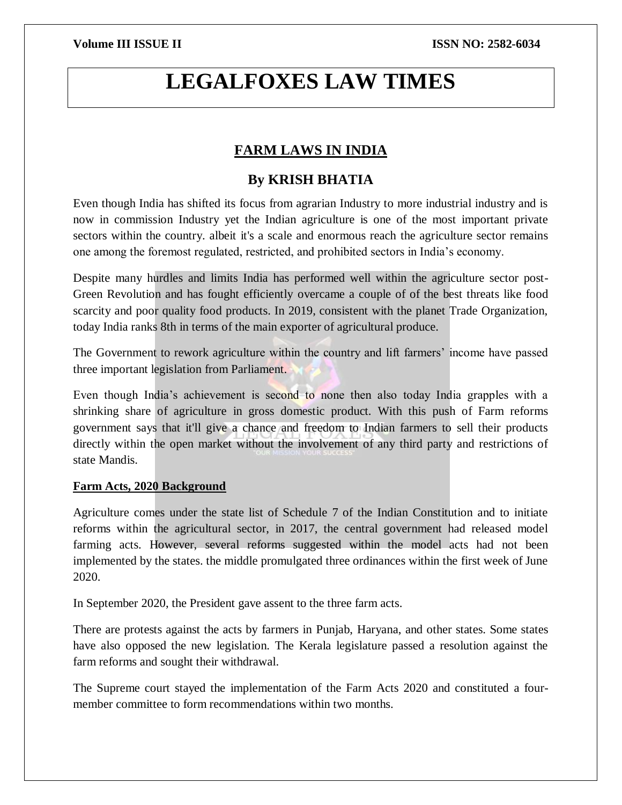# **LEGALFOXES LAW TIMES**

# **FARM LAWS IN INDIA**

# **By KRISH BHATIA**

Even though India has shifted its focus from agrarian Industry to more industrial industry and is now in commission Industry yet the Indian agriculture is one of the most important private sectors within the country. albeit it's a scale and enormous reach the agriculture sector remains one among the foremost regulated, restricted, and prohibited sectors in India's economy.

Despite many hurdles and limits India has performed well within the agriculture sector post-Green Revolution and has fought efficiently overcame a couple of of the best threats like food scarcity and poor quality food products. In 2019, consistent with the planet Trade Organization, today India ranks 8th in terms of the main exporter of agricultural produce.

The Government to rework agriculture within the country and lift farmers' income have passed three important legislation from Parliament.

Even though India's achievement is second to none then also today India grapples with a shrinking share of agriculture in gross domestic product. With this push of Farm reforms government says that it'll give a chance and freedom to Indian farmers to sell their products directly within the open market without the involvement of any third party and restrictions of state Mandis.

# **Farm Acts, 2020 Background**

Agriculture comes under the state list of Schedule 7 of the Indian Constitution and to initiate reforms within the agricultural sector, in 2017, the central government had released model farming acts. However, several reforms suggested within the model acts had not been implemented by the states. the middle promulgated three ordinances within the first week of June 2020.

In September 2020, the President gave assent to the three farm acts.

There are protests against the acts by farmers in Punjab, Haryana, and other states. Some states have also opposed the new legislation. The Kerala legislature passed a resolution against the farm reforms and sought their withdrawal.

The Supreme court stayed the implementation of the Farm Acts 2020 and constituted a fourmember committee to form recommendations within two months.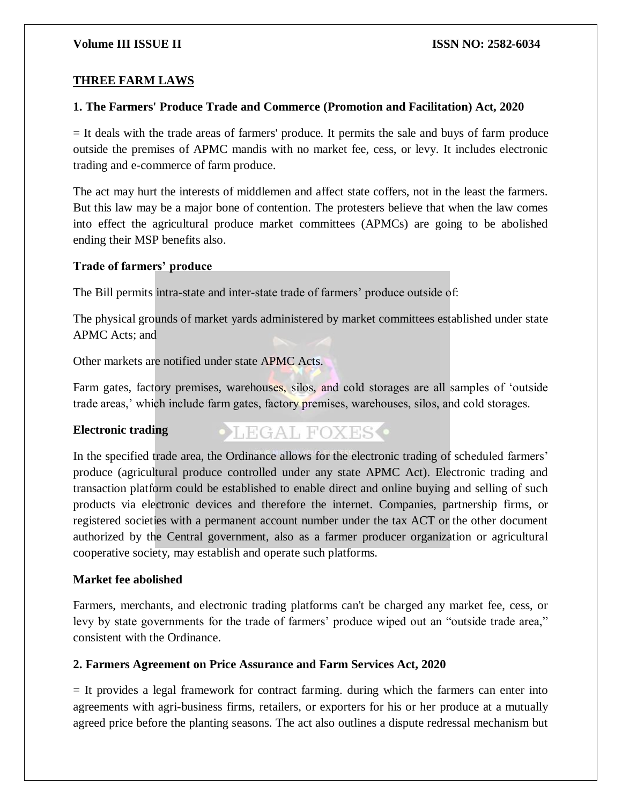# **THREE FARM LAWS**

# **1. The Farmers' Produce Trade and Commerce (Promotion and Facilitation) Act, 2020**

= It deals with the trade areas of farmers' produce. It permits the sale and buys of farm produce outside the premises of APMC mandis with no market fee, cess, or levy. It includes electronic trading and e-commerce of farm produce.

The act may hurt the interests of middlemen and affect state coffers, not in the least the farmers. But this law may be a major bone of contention. The protesters believe that when the law comes into effect the agricultural produce market committees (APMCs) are going to be abolished ending their MSP benefits also.

### **Trade of farmers' produce**

The Bill permits intra-state and inter-state trade of farmers' produce outside of:

The physical grounds of market yards administered by market committees established under state APMC Acts; and

Other markets are notified under state APMC Acts.

Farm gates, factory premises, warehouses, silos, and cold storages are all samples of 'outside trade areas,' which include farm gates, factory premises, warehouses, silos, and cold storages.

# **Electronic trading**

# **OLEGAL FOXES**

In the specified trade area, the Ordinance allows for the electronic trading of scheduled farmers' produce (agricultural produce controlled under any state APMC Act). Electronic trading and transaction platform could be established to enable direct and online buying and selling of such products via electronic devices and therefore the internet. Companies, partnership firms, or registered societies with a permanent account number under the tax ACT or the other document authorized by the Central government, also as a farmer producer organization or agricultural cooperative society, may establish and operate such platforms.

# **Market fee abolished**

Farmers, merchants, and electronic trading platforms can't be charged any market fee, cess, or levy by state governments for the trade of farmers' produce wiped out an "outside trade area," consistent with the Ordinance.

# **2. Farmers Agreement on Price Assurance and Farm Services Act, 2020**

= It provides a legal framework for contract farming. during which the farmers can enter into agreements with agri-business firms, retailers, or exporters for his or her produce at a mutually agreed price before the planting seasons. The act also outlines a dispute redressal mechanism but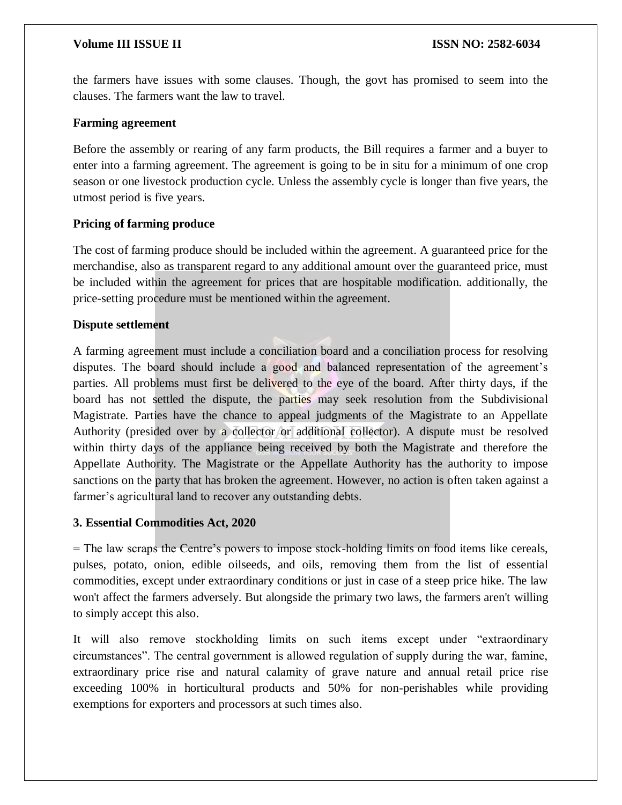# **Volume III ISSUE II ISSUE II ISSN NO:** 2582-6034

the farmers have issues with some clauses. Though, the govt has promised to seem into the clauses. The farmers want the law to travel.

# **Farming agreement**

Before the assembly or rearing of any farm products, the Bill requires a farmer and a buyer to enter into a farming agreement. The agreement is going to be in situ for a minimum of one crop season or one livestock production cycle. Unless the assembly cycle is longer than five years, the utmost period is five years.

# **Pricing of farming produce**

The cost of farming produce should be included within the agreement. A guaranteed price for the merchandise, also as transparent regard to any additional amount over the guaranteed price, must be included within the agreement for prices that are hospitable modification. additionally, the price-setting procedure must be mentioned within the agreement.

# **Dispute settlement**

A farming agreement must include a conciliation board and a conciliation process for resolving disputes. The board should include a good and balanced representation of the agreement's parties. All problems must first be delivered to the eye of the board. After thirty days, if the board has not settled the dispute, the parties may seek resolution from the Subdivisional Magistrate. Parties have the chance to appeal judgments of the Magistrate to an Appellate Authority (presided over by a collector or additional collector). A dispute must be resolved within thirty days of the appliance being received by both the Magistrate and therefore the Appellate Authority. The Magistrate or the Appellate Authority has the authority to impose sanctions on the party that has broken the agreement. However, no action is often taken against a farmer's agricultural land to recover any outstanding debts.

# **3. Essential Commodities Act, 2020**

= The law scraps the Centre's powers to impose stock-holding limits on food items like cereals, pulses, potato, onion, edible oilseeds, and oils, removing them from the list of essential commodities, except under extraordinary conditions or just in case of a steep price hike. The law won't affect the farmers adversely. But alongside the primary two laws, the farmers aren't willing to simply accept this also.

It will also remove stockholding limits on such items except under "extraordinary circumstances". The central government is allowed regulation of supply during the war, famine, extraordinary price rise and natural calamity of grave nature and annual retail price rise exceeding 100% in horticultural products and 50% for non-perishables while providing exemptions for exporters and processors at such times also.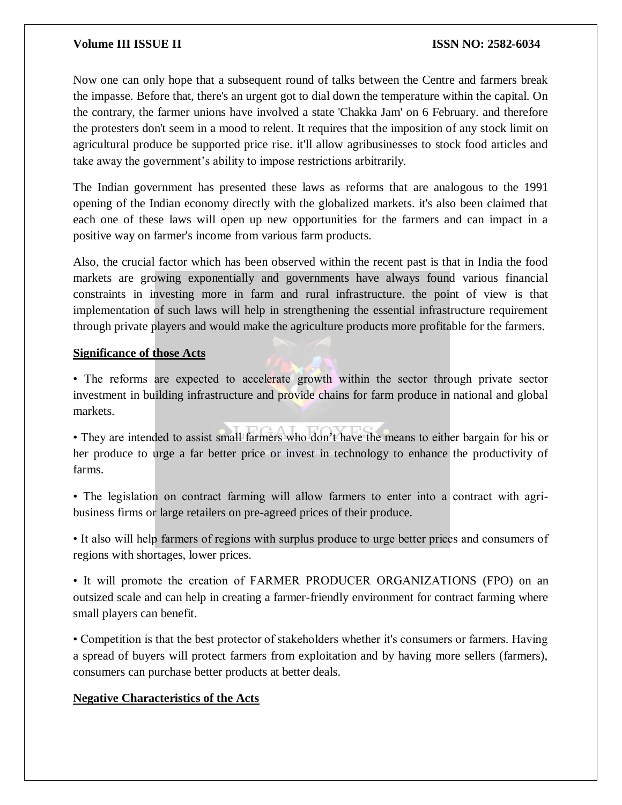# **Volume III ISSUE II ISSUE II ISSN NO:** 2582-6034

Now one can only hope that a subsequent round of talks between the Centre and farmers break the impasse. Before that, there's an urgent got to dial down the temperature within the capital. On the contrary, the farmer unions have involved a state 'Chakka Jam' on 6 February. and therefore the protesters don't seem in a mood to relent. It requires that the imposition of any stock limit on agricultural produce be supported price rise. it'll allow agribusinesses to stock food articles and take away the government's ability to impose restrictions arbitrarily.

The Indian government has presented these laws as reforms that are analogous to the 1991 opening of the Indian economy directly with the globalized markets. it's also been claimed that each one of these laws will open up new opportunities for the farmers and can impact in a positive way on farmer's income from various farm products.

Also, the crucial factor which has been observed within the recent past is that in India the food markets are growing exponentially and governments have always found various financial constraints in investing more in farm and rural infrastructure. the point of view is that implementation of such laws will help in strengthening the essential infrastructure requirement through private players and would make the agriculture products more profitable for the farmers.

# **Significance of those Acts**

• The reforms are expected to accelerate growth within the sector through private sector investment in building infrastructure and provide chains for farm produce in national and global markets.

• They are intended to assist small farmers who don't have the means to either bargain for his or her produce to urge a far better price or invest in technology to enhance the productivity of farms.

• The legislation on contract farming will allow farmers to enter into a contract with agribusiness firms or large retailers on pre-agreed prices of their produce.

• It also will help farmers of regions with surplus produce to urge better prices and consumers of regions with shortages, lower prices.

• It will promote the creation of FARMER PRODUCER ORGANIZATIONS (FPO) on an outsized scale and can help in creating a farmer-friendly environment for contract farming where small players can benefit.

• Competition is that the best protector of stakeholders whether it's consumers or farmers. Having a spread of buyers will protect farmers from exploitation and by having more sellers (farmers), consumers can purchase better products at better deals.

# **Negative Characteristics of the Acts**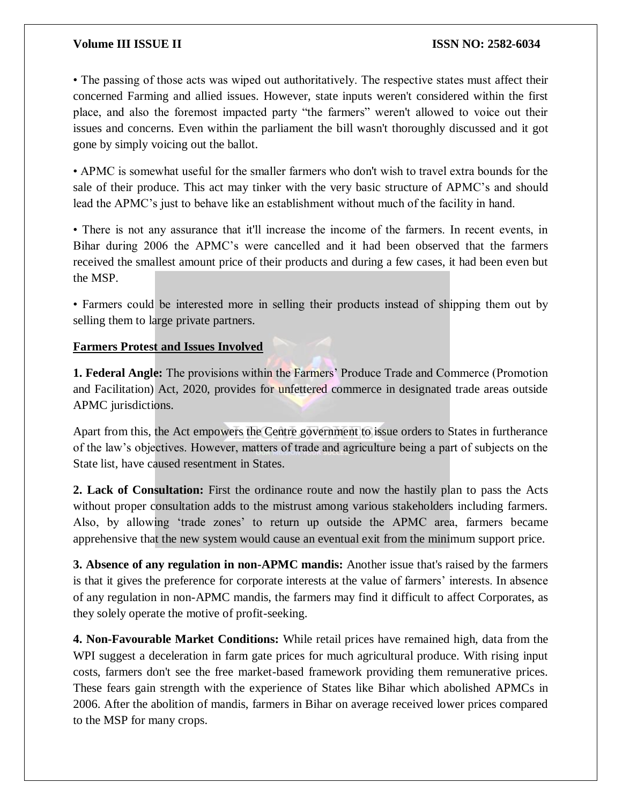# **Volume III ISSUE II ISSN NO: 2582-6034**

• The passing of those acts was wiped out authoritatively. The respective states must affect their concerned Farming and allied issues. However, state inputs weren't considered within the first place, and also the foremost impacted party "the farmers" weren't allowed to voice out their issues and concerns. Even within the parliament the bill wasn't thoroughly discussed and it got gone by simply voicing out the ballot.

• APMC is somewhat useful for the smaller farmers who don't wish to travel extra bounds for the sale of their produce. This act may tinker with the very basic structure of APMC's and should lead the APMC's just to behave like an establishment without much of the facility in hand.

• There is not any assurance that it'll increase the income of the farmers. In recent events, in Bihar during 2006 the APMC's were cancelled and it had been observed that the farmers received the smallest amount price of their products and during a few cases, it had been even but the MSP.

• Farmers could be interested more in selling their products instead of shipping them out by selling them to large private partners.

# **Farmers Protest and Issues Involved**

**1. Federal Angle:** The provisions within the Farmers' Produce Trade and Commerce (Promotion and Facilitation) Act, 2020, provides for unfettered commerce in designated trade areas outside APMC jurisdictions.

Apart from this, the Act empowers the Centre government to issue orders to States in furtherance of the law's objectives. However, matters of trade and agriculture being a part of subjects on the State list, have caused resentment in States.

**2. Lack of Consultation:** First the ordinance route and now the hastily plan to pass the Acts without proper consultation adds to the mistrust among various stakeholders including farmers. Also, by allowing 'trade zones' to return up outside the APMC area, farmers became apprehensive that the new system would cause an eventual exit from the minimum support price.

**3. Absence of any regulation in non-APMC mandis:** Another issue that's raised by the farmers is that it gives the preference for corporate interests at the value of farmers' interests. In absence of any regulation in non-APMC mandis, the farmers may find it difficult to affect Corporates, as they solely operate the motive of profit-seeking.

**4. Non-Favourable Market Conditions:** While retail prices have remained high, data from the WPI suggest a deceleration in farm gate prices for much agricultural produce. With rising input costs, farmers don't see the free market-based framework providing them remunerative prices. These fears gain strength with the experience of States like Bihar which abolished APMCs in 2006. After the abolition of mandis, farmers in Bihar on average received lower prices compared to the MSP for many crops.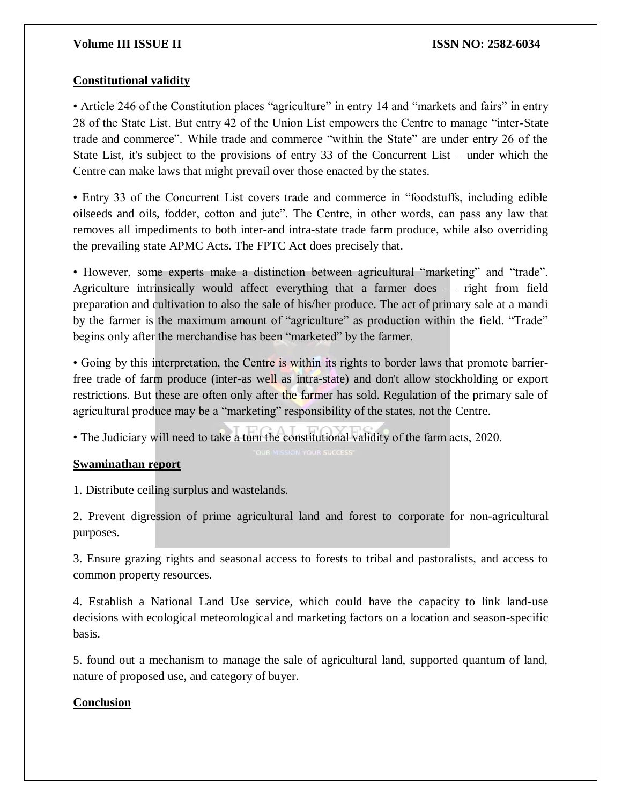# **Volume III ISSUE II ISSN NO: 2582-6034**

# **Constitutional validity**

• Article 246 of the Constitution places "agriculture" in entry 14 and "markets and fairs" in entry 28 of the State List. But entry 42 of the Union List empowers the Centre to manage "inter-State trade and commerce". While trade and commerce "within the State" are under entry 26 of the State List, it's subject to the provisions of entry 33 of the Concurrent List – under which the Centre can make laws that might prevail over those enacted by the states.

• Entry 33 of the Concurrent List covers trade and commerce in "foodstuffs, including edible oilseeds and oils, fodder, cotton and jute". The Centre, in other words, can pass any law that removes all impediments to both inter-and intra-state trade farm produce, while also overriding the prevailing state APMC Acts. The FPTC Act does precisely that.

• However, some experts make a distinction between agricultural "marketing" and "trade". Agriculture intrinsically would affect everything that a farmer does — right from field preparation and cultivation to also the sale of his/her produce. The act of primary sale at a mandi by the farmer is the maximum amount of "agriculture" as production within the field. "Trade" begins only after the merchandise has been "marketed" by the farmer.

• Going by this interpretation, the Centre is within its rights to border laws that promote barrierfree trade of farm produce (inter-as well as intra-state) and don't allow stockholding or export restrictions. But these are often only after the farmer has sold. Regulation of the primary sale of agricultural produce may be a "marketing" responsibility of the states, not the Centre.

• The Judiciary will need to take a turn the constitutional validity of the farm acts, 2020.

# **Swaminathan report**

1. Distribute ceiling surplus and wastelands.

2. Prevent digression of prime agricultural land and forest to corporate for non-agricultural purposes.

3. Ensure grazing rights and seasonal access to forests to tribal and pastoralists, and access to common property resources.

4. Establish a National Land Use service, which could have the capacity to link land-use decisions with ecological meteorological and marketing factors on a location and season-specific basis.

5. found out a mechanism to manage the sale of agricultural land, supported quantum of land, nature of proposed use, and category of buyer.

# **Conclusion**